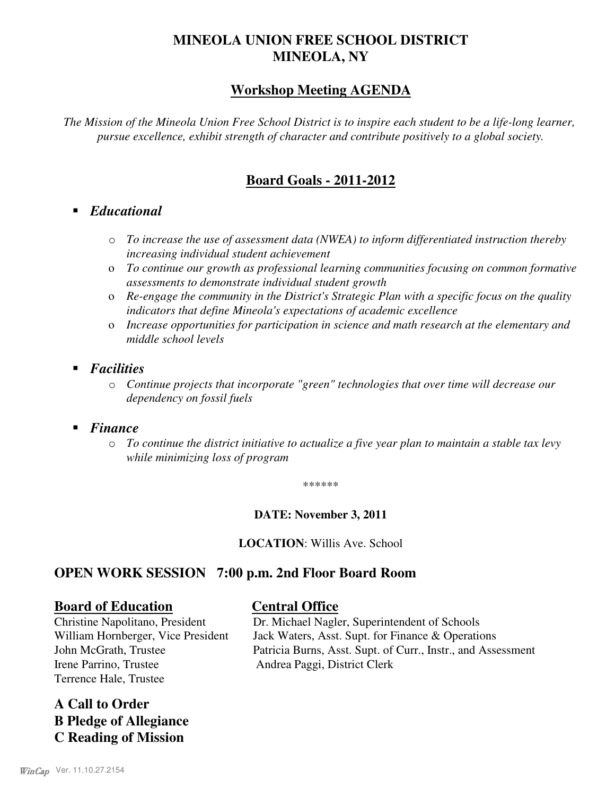# **MINEOLA UNION FREE SCHOOL DISTRICT MINEOLA, NY**

# **Workshop Meeting AGENDA**

*The Mission of the Mineola Union Free School District is to inspire each student to be a life-long learner, pursue excellence, exhibit strength of character and contribute positively to a global society.*

# **Board Goals - 2011-2012**

- *Educational*
	- o *To increase the use of assessment data (NWEA) to inform differentiated instruction thereby increasing individual student achievement*
	- o *To continue our growth as professional learning communities focusing on common formative assessments to demonstrate individual student growth*
	- o *Re-engage the community in the District's Strategic Plan with a specific focus on the quality indicators that define Mineola's expectations of academic excellence*
	- o *Increase opportunities for participation in science and math research at the elementary and middle school levels*
- *Facilities*
	- o *Continue projects that incorporate "green" technologies that over time will decrease our dependency on fossil fuels*
- *Finance*
	- o *To continue the district initiative to actualize a five year plan to maintain a stable tax levy while minimizing loss of program*

\*\*\*\*\*\*

# **DATE: November 3, 2011**

**LOCATION**: Willis Ave. School

# **OPEN WORK SESSION 7:00 p.m. 2nd Floor Board Room**

## **Board of Education Central Office**

Irene Parrino, Trustee Andrea Paggi, District Clerk Terrence Hale, Trustee

**A Call to Order B Pledge of Allegiance C Reading of Mission**

Christine Napolitano, President Dr. Michael Nagler, Superintendent of Schools William Hornberger, Vice President Jack Waters, Asst. Supt. for Finance & Operations John McGrath, Trustee Patricia Burns, Asst. Supt. of Curr., Instr., and Assessment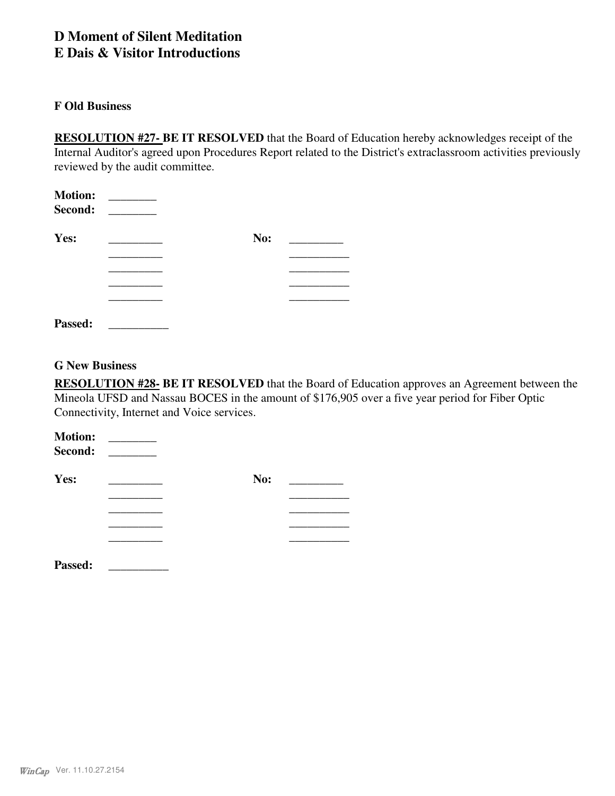# **D Moment of Silent Meditation**

# **E Dais & Visitor Introductions**

## **F Old Business**

**RESOLUTION #27- BE IT RESOLVED** that the Board of Education hereby acknowledges receipt of the Internal Auditor's agreed upon Procedures Report related to the District's extraclassroom activities previously reviewed by the audit committee.

| <b>Motion:</b><br>Second: |     |  |
|---------------------------|-----|--|
| Yes:                      | No: |  |
|                           |     |  |
|                           |     |  |
|                           |     |  |
|                           |     |  |
| Passed:                   |     |  |

## **G New Business**

**RESOLUTION #28- BE IT RESOLVED** that the Board of Education approves an Agreement between the Mineola UFSD and Nassau BOCES in the amount of \$176,905 over a five year period for Fiber Optic Connectivity, Internet and Voice services.

| <b>Motion:</b><br>Second: | $\sim$ $-$ |     |  |
|---------------------------|------------|-----|--|
| Yes:                      |            | No: |  |
|                           |            |     |  |
|                           |            |     |  |
|                           |            |     |  |
| Passed:                   |            |     |  |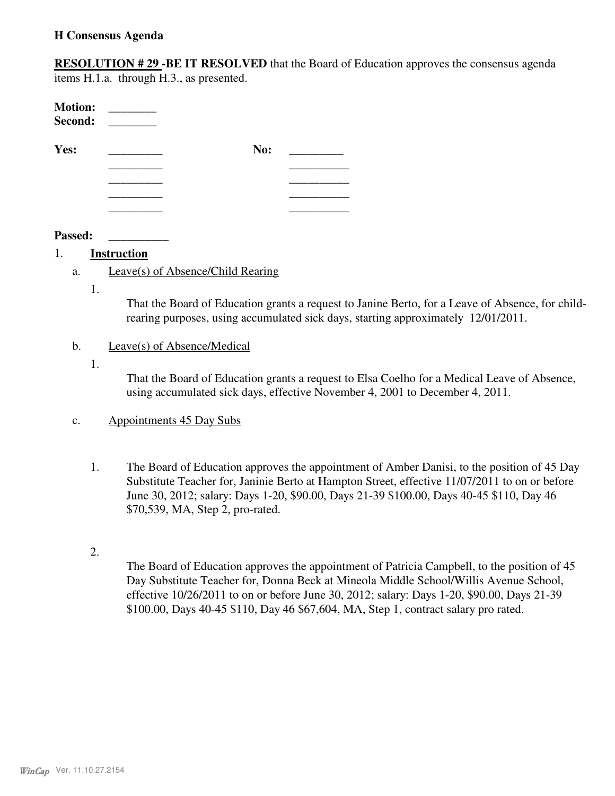## **H Consensus Agenda**

**RESOLUTION # 29 -BE IT RESOLVED** that the Board of Education approves the consensus agenda items H.1.a. through H.3., as presented.

| <b>Motion:</b><br>Second: | <u> 1999 - Jan Ja</u> |     |  |
|---------------------------|-----------------------|-----|--|
| Yes:                      |                       | No: |  |
|                           |                       |     |  |
|                           |                       |     |  |
|                           |                       |     |  |
|                           |                       |     |  |

#### **Passed: \_\_\_\_\_\_\_\_\_\_**

## 1. **Instruction**

- a. Leave(s) of Absence/Child Rearing
	- 1.

That the Board of Education grants a request to Janine Berto, for a Leave of Absence, for childrearing purposes, using accumulated sick days, starting approximately 12/01/2011.

## b. Leave(s) of Absence/Medical

1.

That the Board of Education grants a request to Elsa Coelho for a Medical Leave of Absence, using accumulated sick days, effective November 4, 2001 to December 4, 2011.

## c. Appointments 45 Day Subs

- The Board of Education approves the appointment of Amber Danisi, to the position of 45 Day Substitute Teacher for, Janinie Berto at Hampton Street, effective 11/07/2011 to on or before June 30, 2012; salary: Days 1-20, \$90.00, Days 21-39 \$100.00, Days 40-45 \$110, Day 46 \$70,539, MA, Step 2, pro-rated. 1.
- 2.

The Board of Education approves the appointment of Patricia Campbell, to the position of 45 Day Substitute Teacher for, Donna Beck at Mineola Middle School/Willis Avenue School, effective 10/26/2011 to on or before June 30, 2012; salary: Days 1-20, \$90.00, Days 21-39 \$100.00, Days 40-45 \$110, Day 46 \$67,604, MA, Step 1, contract salary pro rated.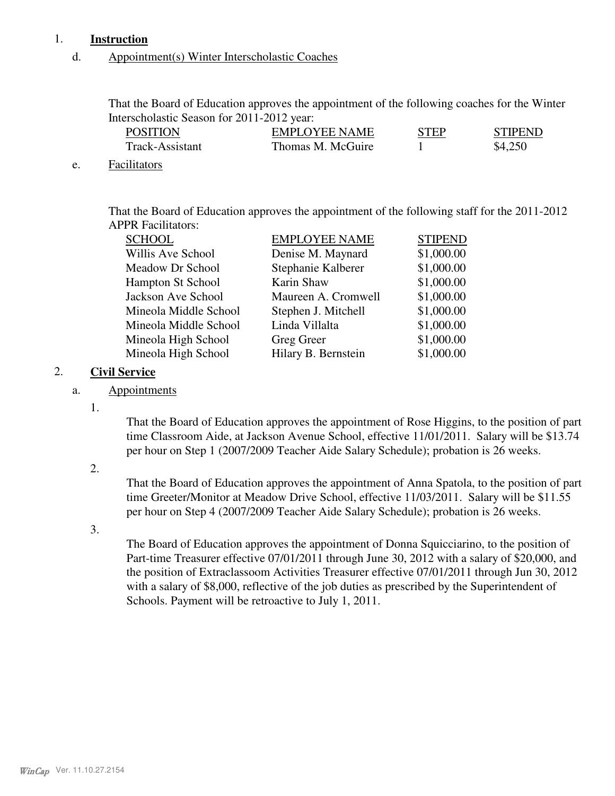# 1. **Instruction**

## d. Appointment(s) Winter Interscholastic Coaches

That the Board of Education approves the appointment of the following coaches for the Winter Interscholastic Season for 2011-2012 year:

| <b>POSITION</b> | <b>EMPLOYEE NAME</b> | <b>STEP</b> | <b>STIPEND</b> |
|-----------------|----------------------|-------------|----------------|
| Track-Assistant | Thomas M. McGuire    |             | \$4,250        |

### e. Facilitators

That the Board of Education approves the appointment of the following staff for the 2011-2012 APPR Facilitators:

| <b>SCHOOL</b>            | <b>EMPLOYEE NAME</b> | <b>STIPEND</b> |
|--------------------------|----------------------|----------------|
| Willis Ave School        | Denise M. Maynard    | \$1,000.00     |
| Meadow Dr School         | Stephanie Kalberer   | \$1,000.00     |
| <b>Hampton St School</b> | Karin Shaw           | \$1,000.00     |
| Jackson Ave School       | Maureen A. Cromwell  | \$1,000.00     |
| Mineola Middle School    | Stephen J. Mitchell  | \$1,000.00     |
| Mineola Middle School    | Linda Villalta       | \$1,000.00     |
| Mineola High School      | Greg Greer           | \$1,000.00     |
| Mineola High School      | Hilary B. Bernstein  | \$1,000.00     |

# 2. **Civil Service**

# a. Appointments

1.

That the Board of Education approves the appointment of Rose Higgins, to the position of part time Classroom Aide, at Jackson Avenue School, effective 11/01/2011. Salary will be \$13.74 per hour on Step 1 (2007/2009 Teacher Aide Salary Schedule); probation is 26 weeks.

2.

That the Board of Education approves the appointment of Anna Spatola, to the position of part time Greeter/Monitor at Meadow Drive School, effective 11/03/2011. Salary will be \$11.55 per hour on Step 4 (2007/2009 Teacher Aide Salary Schedule); probation is 26 weeks.

3.

The Board of Education approves the appointment of Donna Squicciarino, to the position of Part-time Treasurer effective 07/01/2011 through June 30, 2012 with a salary of \$20,000, and the position of Extraclassoom Activities Treasurer effective 07/01/2011 through Jun 30, 2012 with a salary of \$8,000, reflective of the job duties as prescribed by the Superintendent of Schools. Payment will be retroactive to July 1, 2011.